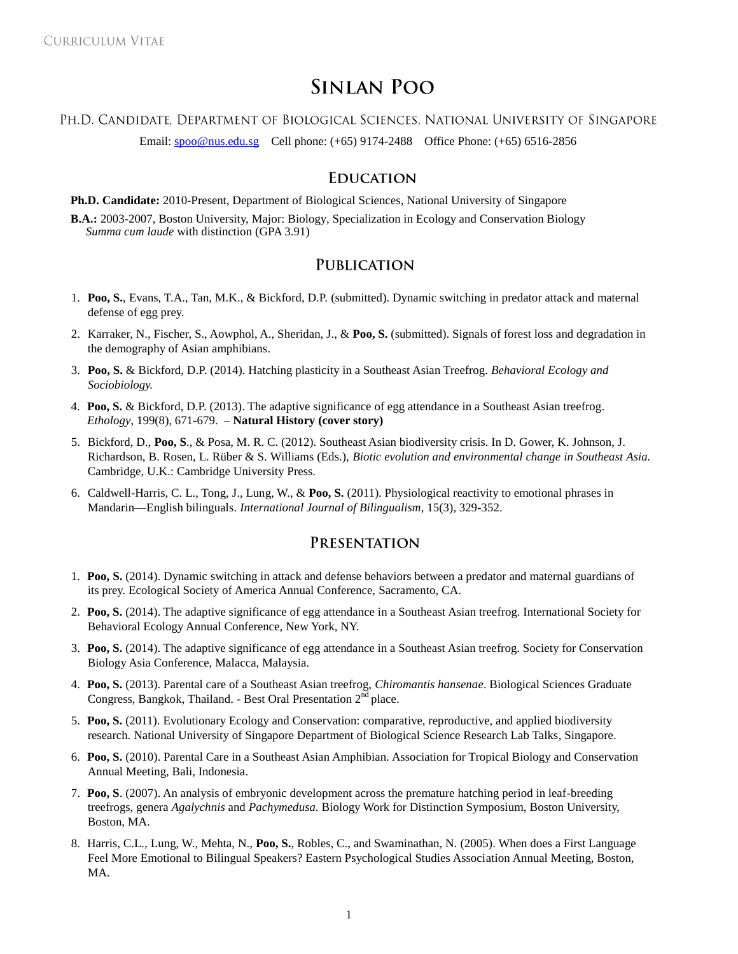# **SINLAN POO**

### PH.D. CANDIDATE, DEPARTMENT OF BIOLOGICAL SCIENCES, NATIONAL UNIVERSITY OF SINGAPORE

Email: [spoo@nus.edu.sg](mailto:spoo@nus.edu.sg) Cell phone: (+65) 9174-2488 Office Phone: (+65) 6516-2856

# **EDUCATION**

**Ph.D. Candidate:** 2010-Present, Department of Biological Sciences, National University of Singapore

**B.A.:** 2003-2007, Boston University, Major: Biology, Specialization in Ecology and Conservation Biology *Summa cum laude* with distinction (GPA 3.91)

## **PUBLICATION**

- 1. **Poo, S.**, Evans, T.A., Tan, M.K., & Bickford, D.P. (submitted). Dynamic switching in predator attack and maternal defense of egg prey.
- 2. Karraker, N., Fischer, S., Aowphol, A., Sheridan, J., & **Poo, S.** (submitted). Signals of forest loss and degradation in the demography of Asian amphibians.
- 3. **Poo, S.** & Bickford, D.P. (2014). Hatching plasticity in a Southeast Asian Treefrog. *Behavioral Ecology and Sociobiology.*
- 4. **Poo, S.** & Bickford, D.P. (2013). The adaptive significance of egg attendance in a Southeast Asian treefrog. *Ethology*, 199(8), 671-679. – **Natural History (cover story)**
- 5. Bickford, D., **Poo, S**., & Posa, M. R. C. (2012). Southeast Asian biodiversity crisis. In D. Gower, K. Johnson, J. Richardson, B. Rosen, L. Rüber & S. Williams (Eds.), *Biotic evolution and environmental change in Southeast Asia.* Cambridge, U.K.: Cambridge University Press.
- 6. Caldwell-Harris, C. L., Tong, J., Lung, W., & **Poo, S.** (2011). Physiological reactivity to emotional phrases in Mandarin—English bilinguals. *International Journal of Bilingualism*, 15(3), 329-352.

## PRESENTATION

- 1. **Poo, S.** (2014). Dynamic switching in attack and defense behaviors between a predator and maternal guardians of its prey. Ecological Society of America Annual Conference, Sacramento, CA.
- 2. **Poo, S.** (2014). The adaptive significance of egg attendance in a Southeast Asian treefrog. International Society for Behavioral Ecology Annual Conference, New York, NY.
- 3. **Poo, S.** (2014). The adaptive significance of egg attendance in a Southeast Asian treefrog. Society for Conservation Biology Asia Conference, Malacca, Malaysia.
- 4. **Poo, S.** (2013). Parental care of a Southeast Asian treefrog, *Chiromantis hansenae*. Biological Sciences Graduate Congress, Bangkok, Thailand. - Best Oral Presentation 2<sup>nd</sup> place.
- 5. **Poo, S.** (2011). Evolutionary Ecology and Conservation: comparative, reproductive, and applied biodiversity research. National University of Singapore Department of Biological Science Research Lab Talks, Singapore.
- 6. **Poo, S.** (2010). Parental Care in a Southeast Asian Amphibian. Association for Tropical Biology and Conservation Annual Meeting, Bali, Indonesia.
- 7. **Poo, S**. (2007). An analysis of embryonic development across the premature hatching period in leaf-breeding treefrogs, genera *Agalychnis* and *Pachymedusa.* Biology Work for Distinction Symposium, Boston University, Boston, MA.
- 8. Harris, C.L., Lung, W., Mehta, N., **Poo, S.**, Robles, C., and Swaminathan, N. (2005). When does a First Language Feel More Emotional to Bilingual Speakers? Eastern Psychological Studies Association Annual Meeting, Boston, MA.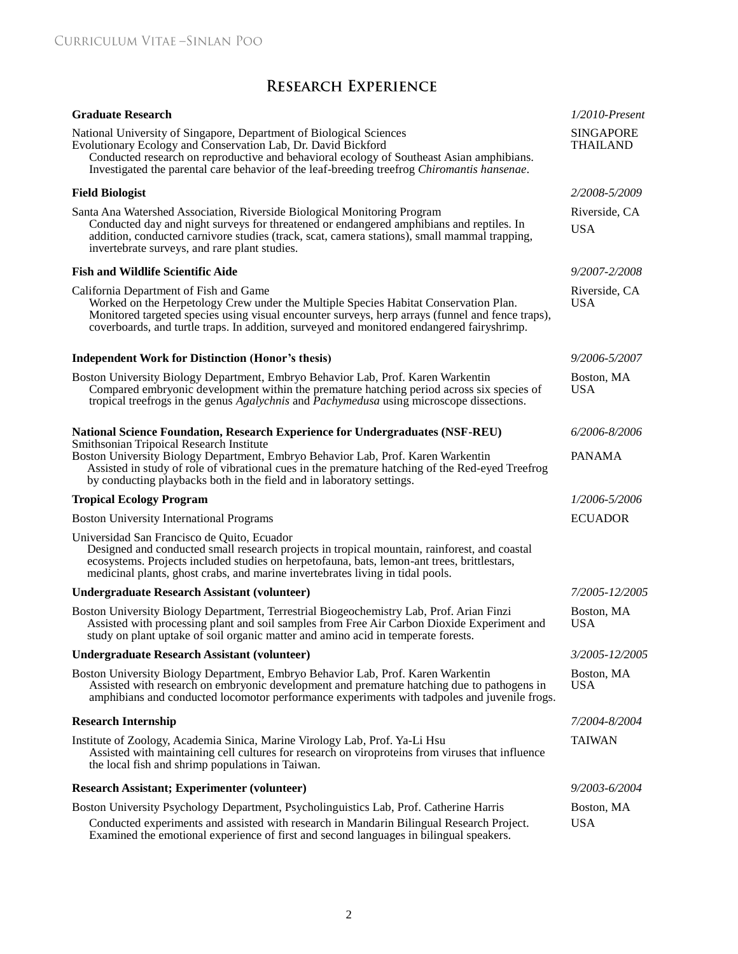# **RESEARCH EXPERIENCE**

| <b>Graduate Research</b>                                                                                                                                                                                                                                                                                                         | $1/2010$ -Present                   |
|----------------------------------------------------------------------------------------------------------------------------------------------------------------------------------------------------------------------------------------------------------------------------------------------------------------------------------|-------------------------------------|
| National University of Singapore, Department of Biological Sciences<br>Evolutionary Ecology and Conservation Lab, Dr. David Bickford<br>Conducted research on reproductive and behavioral ecology of Southeast Asian amphibians.<br>Investigated the parental care behavior of the leaf-breeding treefrog Chiromantis hansenae.  | <b>SINGAPORE</b><br><b>THAILAND</b> |
| <b>Field Biologist</b>                                                                                                                                                                                                                                                                                                           | 2/2008-5/2009                       |
| Santa Ana Watershed Association, Riverside Biological Monitoring Program<br>Conducted day and night surveys for threatened or endangered amphibians and reptiles. In<br>addition, conducted carnivore studies (track, scat, camera stations), small mammal trapping,<br>invertebrate surveys, and rare plant studies.            | Riverside, CA<br><b>USA</b>         |
| <b>Fish and Wildlife Scientific Aide</b>                                                                                                                                                                                                                                                                                         | 9/2007-2/2008                       |
| California Department of Fish and Game<br>Worked on the Herpetology Crew under the Multiple Species Habitat Conservation Plan.<br>Monitored targeted species using visual encounter surveys, herp arrays (funnel and fence traps),<br>coverboards, and turtle traps. In addition, surveyed and monitored endangered fairyshrimp. | Riverside, CA<br>USA                |
| <b>Independent Work for Distinction (Honor's thesis)</b>                                                                                                                                                                                                                                                                         | 9/2006-5/2007                       |
| Boston University Biology Department, Embryo Behavior Lab, Prof. Karen Warkentin<br>Compared embryonic development within the premature hatching period across six species of<br>tropical treefrogs in the genus Agalychnis and Pachymedusa using microscope dissections.                                                        | Boston, MA<br><b>USA</b>            |
| National Science Foundation, Research Experience for Undergraduates (NSF-REU)                                                                                                                                                                                                                                                    | 6/2006-8/2006                       |
| Smithsonian Tripoical Research Institute<br>Boston University Biology Department, Embryo Behavior Lab, Prof. Karen Warkentin<br>Assisted in study of role of vibrational cues in the premature hatching of the Red-eyed Treefrog<br>by conducting playbacks both in the field and in laboratory settings.                        | <b>PANAMA</b>                       |
| <b>Tropical Ecology Program</b>                                                                                                                                                                                                                                                                                                  | 1/2006-5/2006                       |
| <b>Boston University International Programs</b>                                                                                                                                                                                                                                                                                  | <b>ECUADOR</b>                      |
| Universidad San Francisco de Quito, Ecuador<br>Designed and conducted small research projects in tropical mountain, rainforest, and coastal<br>ecosystems. Projects included studies on herpetofauna, bats, lemon-ant trees, brittlestars,<br>medicinal plants, ghost crabs, and marine invertebrates living in tidal pools.     |                                     |
| <b>Undergraduate Research Assistant (volunteer)</b>                                                                                                                                                                                                                                                                              | 7/2005-12/2005                      |
| Boston University Biology Department, Terrestrial Biogeochemistry Lab, Prof. Arian Finzi<br>Assisted with processing plant and soil samples from Free Air Carbon Dioxide Experiment and<br>study on plant uptake of soil organic matter and amino acid in temperate forests.                                                     | Boston, MA<br><b>USA</b>            |
| <b>Undergraduate Research Assistant (volunteer)</b>                                                                                                                                                                                                                                                                              | 3/2005-12/2005                      |
| Boston University Biology Department, Embryo Behavior Lab, Prof. Karen Warkentin<br>Assisted with research on embryonic development and premature hatching due to pathogens in<br>amphibians and conducted locomotor performance experiments with tadpoles and juvenile frogs.                                                   | Boston, MA<br><b>USA</b>            |
| <b>Research Internship</b>                                                                                                                                                                                                                                                                                                       | 7/2004-8/2004                       |
| Institute of Zoology, Academia Sinica, Marine Virology Lab, Prof. Ya-Li Hsu<br>Assisted with maintaining cell cultures for research on viroproteins from viruses that influence<br>the local fish and shrimp populations in Taiwan.                                                                                              | TAIWAN                              |
| <b>Research Assistant; Experimenter (volunteer)</b>                                                                                                                                                                                                                                                                              | 9/2003-6/2004                       |
| Boston University Psychology Department, Psycholinguistics Lab, Prof. Catherine Harris                                                                                                                                                                                                                                           | Boston, MA                          |
| Conducted experiments and assisted with research in Mandarin Bilingual Research Project.<br>Examined the emotional experience of first and second languages in bilingual speakers.                                                                                                                                               | <b>USA</b>                          |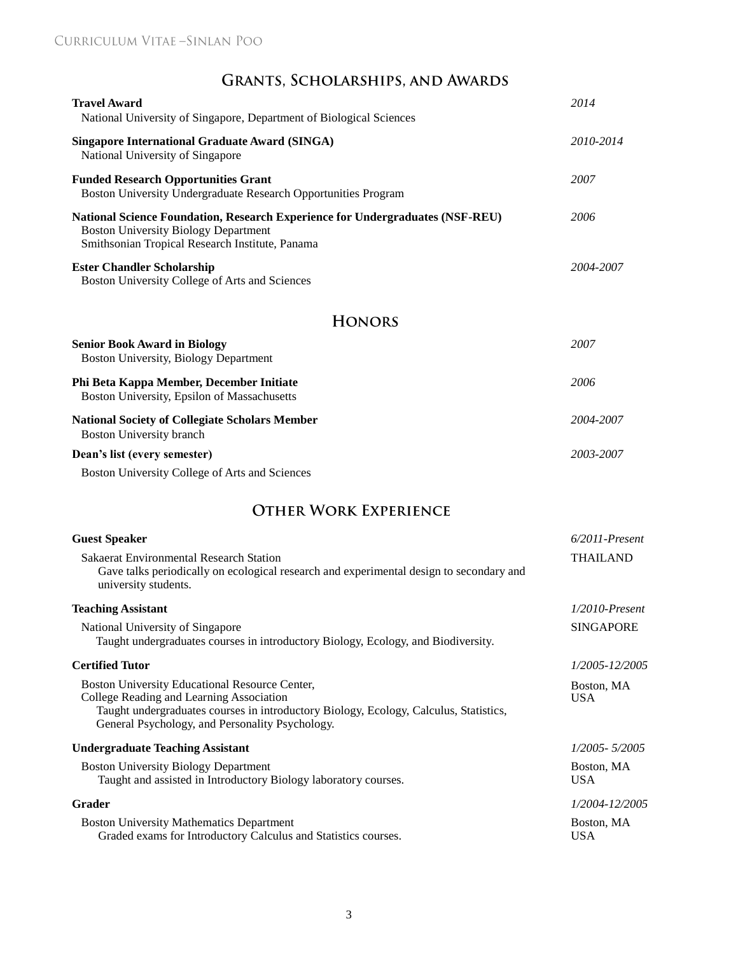# GRANTS, SCHOLARSHIPS, AND AWARDS

| <b>Travel Award</b><br>National University of Singapore, Department of Biological Sciences                                                                                                                                             | 2014                     |
|----------------------------------------------------------------------------------------------------------------------------------------------------------------------------------------------------------------------------------------|--------------------------|
| <b>Singapore International Graduate Award (SINGA)</b><br>National University of Singapore                                                                                                                                              | 2010-2014                |
| <b>Funded Research Opportunities Grant</b><br>Boston University Undergraduate Research Opportunities Program                                                                                                                           | 2007                     |
| <b>National Science Foundation, Research Experience for Undergraduates (NSF-REU)</b><br><b>Boston University Biology Department</b><br>Smithsonian Tropical Research Institute, Panama                                                 | 2006                     |
| <b>Ester Chandler Scholarship</b><br>Boston University College of Arts and Sciences                                                                                                                                                    | 2004-2007                |
| <b>HONORS</b>                                                                                                                                                                                                                          |                          |
| <b>Senior Book Award in Biology</b><br>Boston University, Biology Department                                                                                                                                                           | 2007                     |
| Phi Beta Kappa Member, December Initiate<br>Boston University, Epsilon of Massachusetts                                                                                                                                                | 2006                     |
| <b>National Society of Collegiate Scholars Member</b><br><b>Boston University branch</b>                                                                                                                                               | 2004-2007                |
| Dean's list (every semester)                                                                                                                                                                                                           | 2003-2007                |
| Boston University College of Arts and Sciences                                                                                                                                                                                         |                          |
| <b>OTHER WORK EXPERIENCE</b>                                                                                                                                                                                                           |                          |
| <b>Guest Speaker</b>                                                                                                                                                                                                                   | $6/2011$ -Present        |
| <b>Sakaerat Environmental Research Station</b><br>Gave talks periodically on ecological research and experimental design to secondary and<br>university students.                                                                      | <b>THAILAND</b>          |
| <b>Teaching Assistant</b>                                                                                                                                                                                                              | $1/2010$ -Present        |
| National University of Singapore<br>Taught undergraduates courses in introductory Biology, Ecology, and Biodiversity.                                                                                                                  | <b>SINGAPORE</b>         |
| <b>Certified Tutor</b>                                                                                                                                                                                                                 | 1/2005-12/2005           |
| Boston University Educational Resource Center,<br>College Reading and Learning Association<br>Taught undergraduates courses in introductory Biology, Ecology, Calculus, Statistics,<br>General Psychology, and Personality Psychology. | Boston, MA<br><b>USA</b> |
| <b>Undergraduate Teaching Assistant</b>                                                                                                                                                                                                | 1/2005-5/2005            |
| <b>Boston University Biology Department</b><br>Taught and assisted in Introductory Biology laboratory courses.                                                                                                                         | Boston, MA<br><b>USA</b> |
| Grader                                                                                                                                                                                                                                 | 1/2004-12/2005           |
| <b>Boston University Mathematics Department</b>                                                                                                                                                                                        | Boston, MA               |

Graded exams for Introductory Calculus and Statistics courses. USA